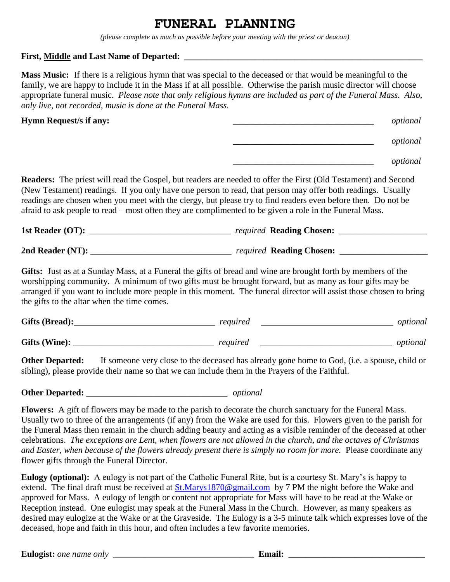## **FUNERAL PLANNING**

*(please complete as much as possible before your meeting with the priest or deacon)*

## **First, Middle and Last Name of Departed: \_\_\_\_\_\_\_\_\_\_\_\_\_\_\_\_\_\_\_\_\_\_\_\_\_\_\_\_\_\_\_\_\_\_\_\_\_\_\_\_\_\_\_\_\_\_\_\_\_\_\_\_\_\_**

**Mass Music:** If there is a religious hymn that was special to the deceased or that would be meaningful to the family, we are happy to include it in the Mass if at all possible. Otherwise the parish music director will choose appropriate funeral music. *Please note that only religious hymns are included as part of the Funeral Mass. Also, only live, not recorded, music is done at the Funeral Mass.*

**Hymn Request/s if any:** \_\_\_\_\_\_\_\_\_\_\_\_\_\_\_\_\_\_\_\_\_\_\_\_\_\_\_\_\_\_\_\_ *optional*

| opuonai |
|---------|
|         |
|         |

| optional |
|----------|
|          |

|  | optional |
|--|----------|
|--|----------|

**Readers:** The priest will read the Gospel, but readers are needed to offer the First (Old Testament) and Second (New Testament) readings. If you only have one person to read, that person may offer both readings. Usually readings are chosen when you meet with the clergy, but please try to find readers even before then. Do not be afraid to ask people to read – most often they are complimented to be given a role in the Funeral Mass.

| 1st Reader (OT):    | <i>required</i> Reading Chosen: |
|---------------------|---------------------------------|
|                     |                                 |
| 2nd Reader $(NT)$ : | <i>required</i> Reading Chosen: |

**Gifts:** Just as at a Sunday Mass, at a Funeral the gifts of bread and wine are brought forth by members of the worshipping community. A minimum of two gifts must be brought forward, but as many as four gifts may be arranged if you want to include more people in this moment. The funeral director will assist those chosen to bring the gifts to the altar when the time comes.

| Gifts (Bread): | required | optional |
|----------------|----------|----------|
| Gifts (Wine):  | required | optional |

**Other Departed:** If someone very close to the deceased has already gone home to God, (i.e. a spouse, child or sibling), please provide their name so that we can include them in the Prayers of the Faithful.

**Other Departed:**  $\qquad \qquad$  *optional* 

**Flowers:** A gift of flowers may be made to the parish to decorate the church sanctuary for the Funeral Mass. Usually two to three of the arrangements (if any) from the Wake are used for this. Flowers given to the parish for the Funeral Mass then remain in the church adding beauty and acting as a visible reminder of the deceased at other celebrations. *The exceptions are Lent, when flowers are not allowed in the church, and the octaves of Christmas and Easter, when because of the flowers already present there is simply no room for more.* Please coordinate any flower gifts through the Funeral Director.

**Eulogy (optional):** A eulogy is not part of the Catholic Funeral Rite, but is a courtesy St. Mary's is happy to extend. The final draft must be received at **St.Marys1870@gmail.com** by 7 PM the night before the Wake and approved for Mass. A eulogy of length or content not appropriate for Mass will have to be read at the Wake or Reception instead. One eulogist may speak at the Funeral Mass in the Church. However, as many speakers as desired may eulogize at the Wake or at the Graveside. The Eulogy is a 3-5 minute talk which expresses love of the deceased, hope and faith in this hour, and often includes a few favorite memories.

**Eulogist:** *one name only* **example 2 Email: Email: Email: Email: Email: Email: Email: Email: Email: Email: Email: Email: Email: Email: Email: Email: Email: Email: Email: Email: E**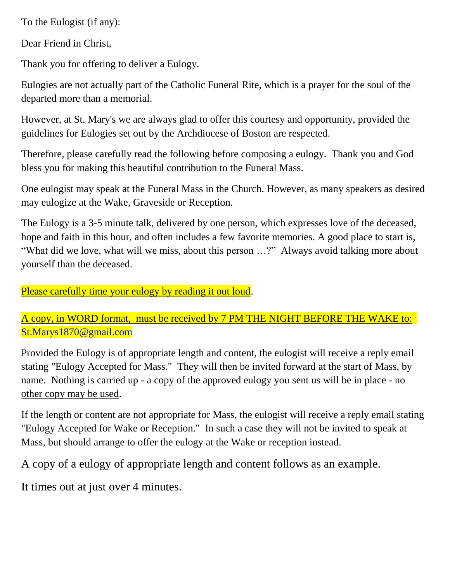To the Eulogist (if any):

Dear Friend in Christ,

Thank you for offering to deliver a Eulogy.

Eulogies are not actually part of the Catholic Funeral Rite, which is a prayer for the soul of the departed more than a memorial.

However, at St. Mary's we are always glad to offer this courtesy and opportunity, provided the guidelines for Eulogies set out by the Archdiocese of Boston are respected.

Therefore, please carefully read the following before composing a eulogy. Thank you and God bless you for making this beautiful contribution to the Funeral Mass.

One eulogist may speak at the Funeral Mass in the Church. However, as many speakers as desired may eulogize at the Wake, Graveside or Reception.

The Eulogy is a 3-5 minute talk, delivered by one person, which expresses love of the deceased, hope and faith in this hour, and often includes a few favorite memories. A good place to start is, "What did we love, what will we miss, about this person …?" Always avoid talking more about yourself than the deceased.

Please carefully time your eulogy by reading it out loud.

A copy, in WORD format, must be received by 7 PM THE NIGHT BEFORE THE WAKE to: [St.Marys1870@gmail.com](mailto:St.Marys1870@gmail.com)

Provided the Eulogy is of appropriate length and content, the eulogist will receive a reply email stating "Eulogy Accepted for Mass." They will then be invited forward at the start of Mass, by name. Nothing is carried up - a copy of the approved eulogy you sent us will be in place - no other copy may be used.

If the length or content are not appropriate for Mass, the eulogist will receive a reply email stating "Eulogy Accepted for Wake or Reception." In such a case they will not be invited to speak at Mass, but should arrange to offer the eulogy at the Wake or reception instead.

A copy of a eulogy of appropriate length and content follows as an example.

It times out at just over 4 minutes.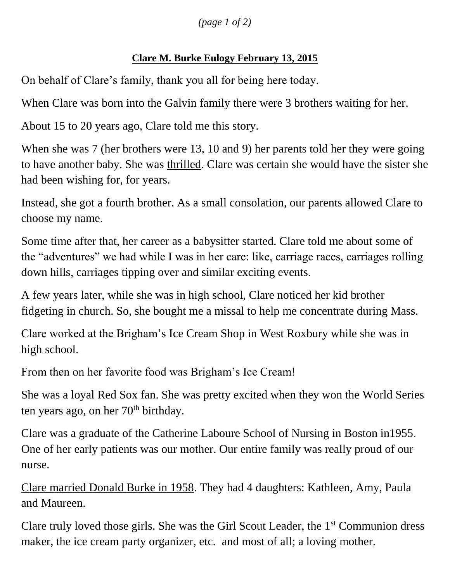*(page 1 of 2)*

## **Clare M. Burke Eulogy February 13, 2015**

On behalf of Clare's family, thank you all for being here today.

When Clare was born into the Galvin family there were 3 brothers waiting for her.

About 15 to 20 years ago, Clare told me this story.

When she was 7 (her brothers were 13, 10 and 9) her parents told her they were going to have another baby. She was thrilled. Clare was certain she would have the sister she had been wishing for, for years.

Instead, she got a fourth brother. As a small consolation, our parents allowed Clare to choose my name.

Some time after that, her career as a babysitter started. Clare told me about some of the "adventures" we had while I was in her care: like, carriage races, carriages rolling down hills, carriages tipping over and similar exciting events.

A few years later, while she was in high school, Clare noticed her kid brother fidgeting in church. So, she bought me a missal to help me concentrate during Mass.

Clare worked at the Brigham's Ice Cream Shop in West Roxbury while she was in high school.

From then on her favorite food was Brigham's Ice Cream!

She was a loyal Red Sox fan. She was pretty excited when they won the World Series ten years ago, on her  $70<sup>th</sup>$  birthday.

Clare was a graduate of the Catherine Laboure School of Nursing in Boston in1955. One of her early patients was our mother. Our entire family was really proud of our nurse.

Clare married Donald Burke in 1958. They had 4 daughters: Kathleen, Amy, Paula and Maureen.

Clare truly loved those girls. She was the Girl Scout Leader, the  $1<sup>st</sup>$  Communion dress maker, the ice cream party organizer, etc. and most of all; a loving mother.